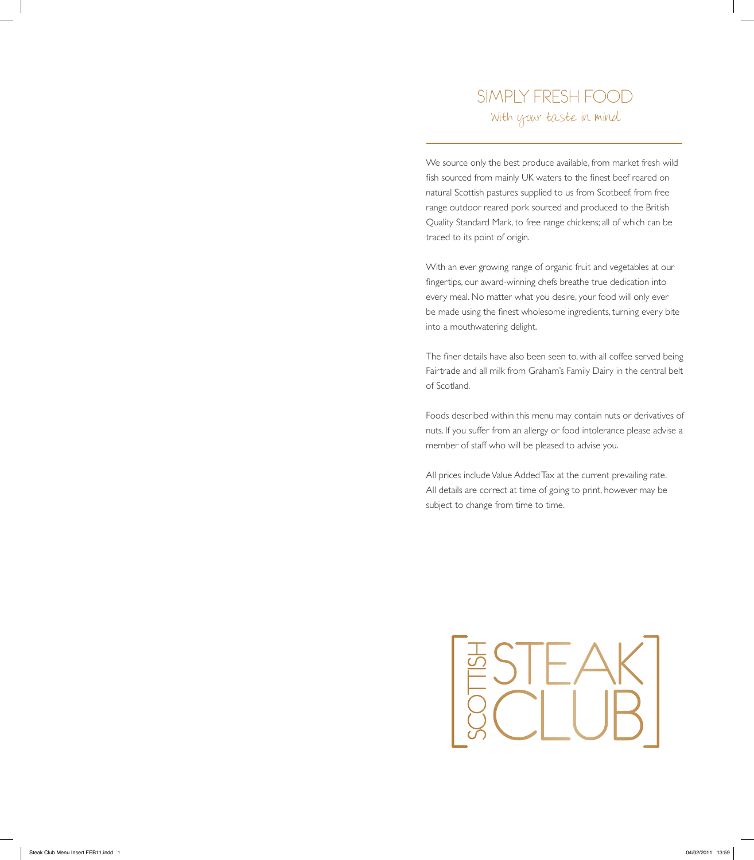### SIMPLY FRESH FOOD With your taste in mind

We source only the best produce available, from market fresh wild fish sourced from mainly UK waters to the finest beef reared on natural Scottish pastures supplied to us from Scotbeef; from free range outdoor reared pork sourced and produced to the British Quality Standard Mark, to free range chickens; all of which can be traced to its point of origin.

With an ever growing range of organic fruit and vegetables at our fingertips, our award-winning chefs breathe true dedication into every meal. No matter what you desire, your food will only ever be made using the finest wholesome ingredients, turning every bite into a mouthwatering delight.

The finer details have also been seen to, with all coffee served being Fairtrade and all milk from Graham's Family Dairy in the central belt of Scotland.

Foods described within this menu may contain nuts or derivatives of nuts. If you suffer from an allergy or food intolerance please advise a member of staff who will be pleased to advise you.

All prices include Value Added Tax at the current prevailing rate. All details are correct at time of going to print, however may be subject to change from time to time.